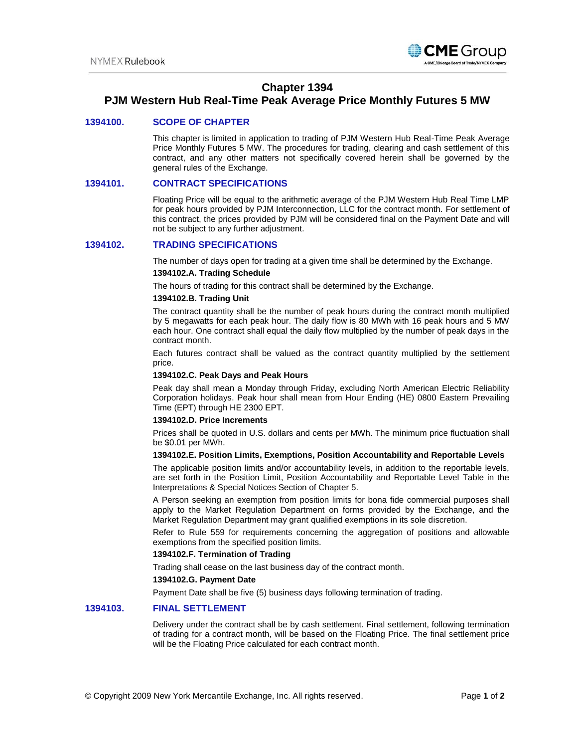

# **Chapter 1394**

# **PJM Western Hub Real-Time Peak Average Price Monthly Futures 5 MW**

# **1394100. SCOPE OF CHAPTER**

This chapter is limited in application to trading of PJM Western Hub Real-Time Peak Average Price Monthly Futures 5 MW. The procedures for trading, clearing and cash settlement of this contract, and any other matters not specifically covered herein shall be governed by the general rules of the Exchange.

# **1394101. CONTRACT SPECIFICATIONS**

Floating Price will be equal to the arithmetic average of the PJM Western Hub Real Time LMP for peak hours provided by PJM Interconnection, LLC for the contract month. For settlement of this contract, the prices provided by PJM will be considered final on the Payment Date and will not be subject to any further adjustment.

## **1394102. TRADING SPECIFICATIONS**

The number of days open for trading at a given time shall be determined by the Exchange.

#### **1394102.A. Trading Schedule**

The hours of trading for this contract shall be determined by the Exchange.

## **1394102.B. Trading Unit**

The contract quantity shall be the number of peak hours during the contract month multiplied by 5 megawatts for each peak hour. The daily flow is 80 MWh with 16 peak hours and 5 MW each hour. One contract shall equal the daily flow multiplied by the number of peak days in the contract month.

Each futures contract shall be valued as the contract quantity multiplied by the settlement price.

#### **1394102.C. Peak Days and Peak Hours**

Peak day shall mean a Monday through Friday, excluding North American Electric Reliability Corporation holidays. Peak hour shall mean from Hour Ending (HE) 0800 Eastern Prevailing Time (EPT) through HE 2300 EPT.

### **1394102.D. Price Increments**

Prices shall be quoted in U.S. dollars and cents per MWh. The minimum price fluctuation shall be \$0.01 per MWh.

#### **1394102.E. Position Limits, Exemptions, Position Accountability and Reportable Levels**

The applicable position limits and/or accountability levels, in addition to the reportable levels, are set forth in the Position Limit, Position Accountability and Reportable Level Table in the Interpretations & Special Notices Section of Chapter 5.

A Person seeking an exemption from position limits for bona fide commercial purposes shall apply to the Market Regulation Department on forms provided by the Exchange, and the Market Regulation Department may grant qualified exemptions in its sole discretion.

Refer to Rule 559 for requirements concerning the aggregation of positions and allowable exemptions from the specified position limits.

#### **1394102.F. Termination of Trading**

Trading shall cease on the last business day of the contract month.

#### **1394102.G. Payment Date**

Payment Date shall be five (5) business days following termination of trading.

## **1394103. FINAL SETTLEMENT**

Delivery under the contract shall be by cash settlement. Final settlement, following termination of trading for a contract month, will be based on the Floating Price. The final settlement price will be the Floating Price calculated for each contract month.